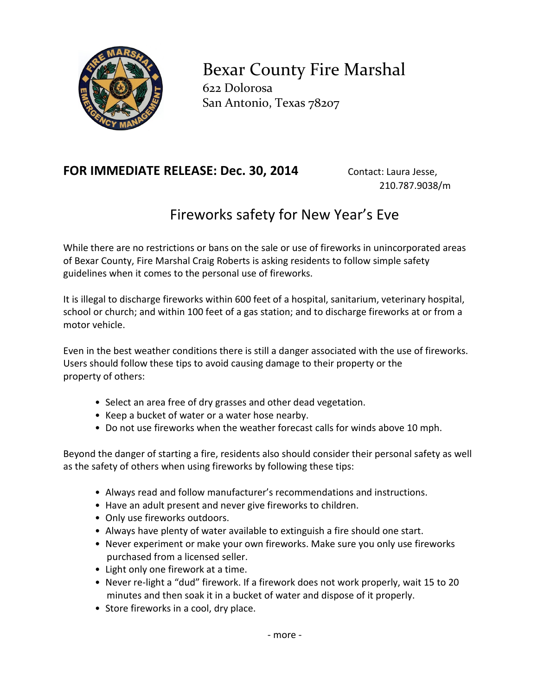

Bexar County Fire Marshal 622 Dolorosa San Antonio, Texas 78207

## **FOR IMMEDIATE RELEASE: Dec. 30, 2014** Contact: Laura Jesse,

210.787.9038/m

## Fireworks safety for New Year's Eve

While there are no restrictions or bans on the sale or use of fireworks in unincorporated areas of Bexar County, Fire Marshal Craig Roberts is asking residents to follow simple safety guidelines when it comes to the personal use of fireworks.

It is illegal to discharge fireworks within 600 feet of a hospital, sanitarium, veterinary hospital, school or church; and within 100 feet of a gas station; and to discharge fireworks at or from a motor vehicle.

Even in the best weather conditions there is still a danger associated with the use of fireworks. Users should follow these tips to avoid causing damage to their property or the property of others:

- Select an area free of dry grasses and other dead vegetation.
- Keep a bucket of water or a water hose nearby.
- Do not use fireworks when the weather forecast calls for winds above 10 mph.

Beyond the danger of starting a fire, residents also should consider their personal safety as well as the safety of others when using fireworks by following these tips:

- Always read and follow manufacturer's recommendations and instructions.
- Have an adult present and never give fireworks to children.
- Only use fireworks outdoors.
- Always have plenty of water available to extinguish a fire should one start.
- Never experiment or make your own fireworks. Make sure you only use fireworks purchased from a licensed seller.
- Light only one firework at a time.
- Never re-light a "dud" firework. If a firework does not work properly, wait 15 to 20 minutes and then soak it in a bucket of water and dispose of it properly.
- Store fireworks in a cool, dry place.